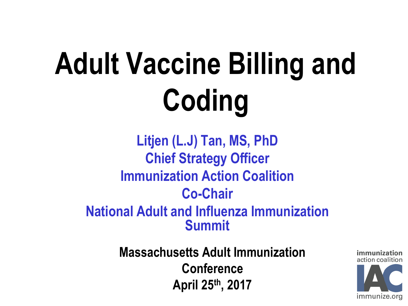# **Adult Vaccine Billing and Coding**

**Litjen (L.J) Tan, MS, PhD Chief Strategy Officer Immunization Action Coalition Co-Chair National Adult and Influenza Immunization Summit**

> **Massachusetts Adult Immunization Conference April 25th, 2017**

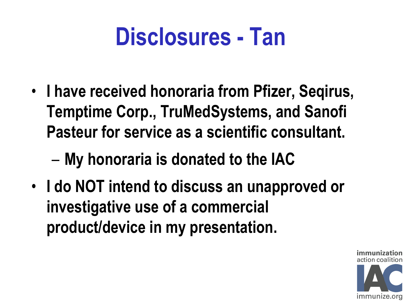## **Disclosures - Tan**

- **I have received honoraria from Pfizer, Seqirus, Temptime Corp., TruMedSystems, and Sanofi Pasteur for service as a scientific consultant.**
	- **My honoraria is donated to the IAC**
- **I do NOT intend to discuss an unapproved or investigative use of a commercial product/device in my presentation.**

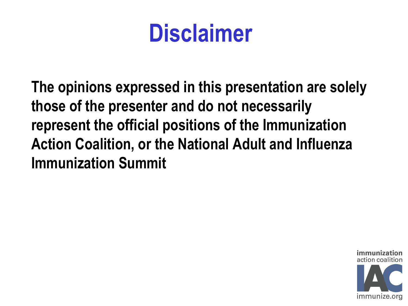## **Disclaimer**

**The opinions expressed in this presentation are solely those of the presenter and do not necessarily represent the official positions of the Immunization Action Coalition, or the National Adult and Influenza Immunization Summit**

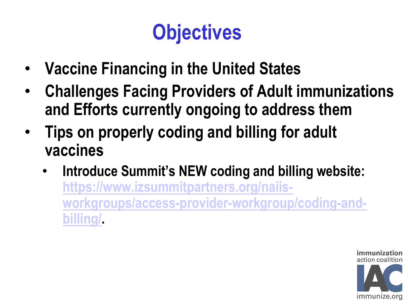#### **Objectives**

- **Vaccine Financing in the United States**
- **Challenges Facing Providers of Adult immunizations and Efforts currently ongoing to address them**
- **Tips on properly coding and billing for adult vaccines**
	- **Introduce Summit's NEW coding and billing website: [https://www.izsummitpartners.org/naiis](https://www.izsummitpartners.org/naiis-workgroups/access-provider-workgroup/coding-and-billing/)[workgroups/access-provider-workgroup/coding-and](https://www.izsummitpartners.org/naiis-workgroups/access-provider-workgroup/coding-and-billing/)[billing/](https://www.izsummitpartners.org/naiis-workgroups/access-provider-workgroup/coding-and-billing/).**

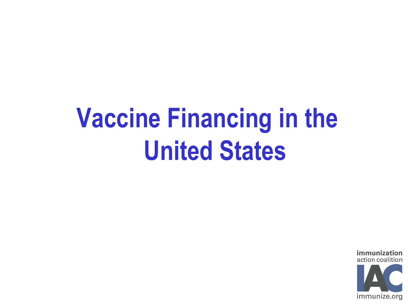# **Vaccine Financing in the United States**

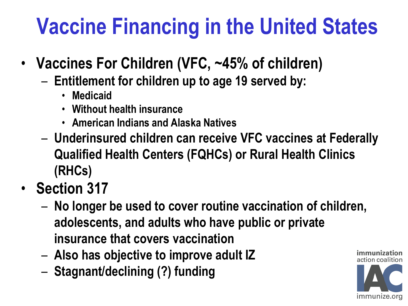## **Vaccine Financing in the United States**

- **Vaccines For Children (VFC, ~45% of children)**
	- **Entitlement for children up to age 19 served by:**
		- **Medicaid**
		- **Without health insurance**
		- **American Indians and Alaska Natives**
	- **Underinsured children can receive VFC vaccines at Federally Qualified Health Centers (FQHCs) or Rural Health Clinics (RHCs)**
- **Section 317**
	- **No longer be used to cover routine vaccination of children, adolescents, and adults who have public or private insurance that covers vaccination**
	- **Also has objective to improve adult IZ**
	- **Stagnant/declining (?) funding**

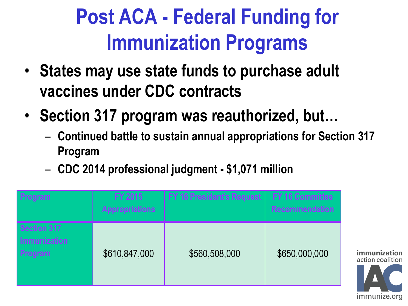#### **Post ACA - Federal Funding for Immunization Programs**

- **States may use state funds to purchase adult vaccines under CDC contracts**
- **Section 317 program was reauthorized, but…**
	- **Continued battle to sustain annual appropriations for Section 317 Program**

immuniza action coalition

immunize.org

– **CDC 2014 professional judgment - \$1,071 million**

| Program                                       | FY 2015<br><b>Appropriations</b> | <b>FY 16 President's Request</b> | <b>FY 16 Committee</b><br><b>Recommendation</b> |
|-----------------------------------------------|----------------------------------|----------------------------------|-------------------------------------------------|
| <b>Section 317</b><br>Immunization<br>Program | \$610,847,000                    | \$560,508,000                    | \$650,000,000                                   |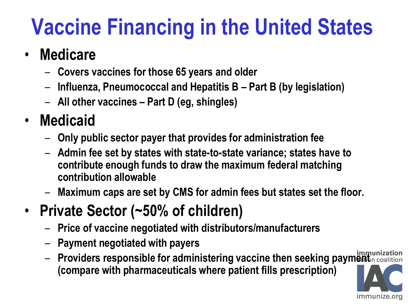## **Vaccine Financing in the United States**

#### • **Medicare**

- **Covers vaccines for those 65 years and older**
- **Influenza, Pneumococcal and Hepatitis B – Part B (by legislation)**
- **All other vaccines – Part D (eg, shingles)**

#### • **Medicaid**

- **Only public sector payer that provides for administration fee**
- **Admin fee set by states with state-to-state variance; states have to contribute enough funds to draw the maximum federal matching contribution allowable**
- **Maximum caps are set by CMS for admin fees but states set the floor.**
- **Private Sector (~50% of children)**
	- **Price of vaccine negotiated with distributors/manufacturers**
	- **Payment negotiated with payers**
	- Providers responsible for administering vaccine then seeking paymenth coalition **(compare with pharmaceuticals where patient fills prescription)**

immunize.org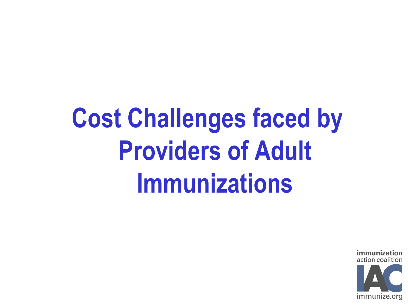# **Cost Challenges faced by Providers of Adult Immunizations**

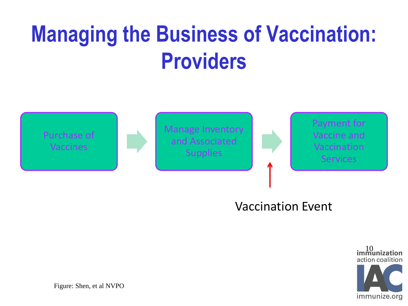## **Managing the Business of Vaccination: Providers**



#### Vaccination Event



Figure: Shen, et al NVPO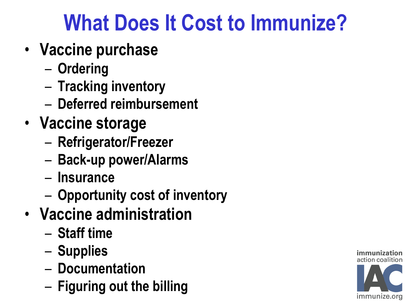### **What Does It Cost to Immunize?**

- **Vaccine purchase**
	- **Ordering**
	- **Tracking inventory**
	- **Deferred reimbursement**
- **Vaccine storage**
	- **Refrigerator/Freezer**
	- **Back-up power/Alarms**
	- **Insurance**
	- **Opportunity cost of inventory**
- **Vaccine administration**
	- **Staff time**
	- **Supplies**
	- **Documentation**
	- **Figuring out the billing**

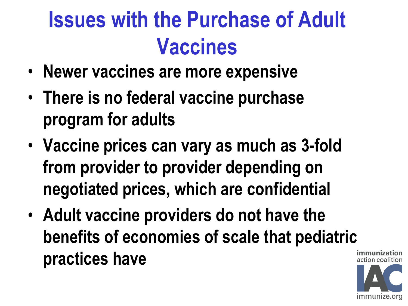## **Issues with the Purchase of Adult Vaccines**

- **Newer vaccines are more expensive**
- **There is no federal vaccine purchase program for adults**
- **Vaccine prices can vary as much as 3-fold from provider to provider depending on negotiated prices, which are confidential**
- **Adult vaccine providers do not have the benefits of economies of scale that pediatric practices have**

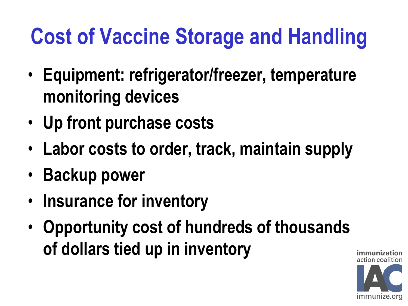## **Cost of Vaccine Storage and Handling**

- **Equipment: refrigerator/freezer, temperature monitoring devices**
- **Up front purchase costs**
- **Labor costs to order, track, maintain supply**
- **Backup power**
- **Insurance for inventory**
- **Opportunity cost of hundreds of thousands of dollars tied up in inventory**

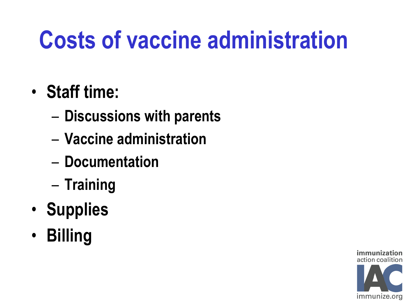# **Costs of vaccine administration**

- **Staff time:** 
	- **Discussions with parents**
	- **Vaccine administration**
	- **Documentation**
	- **Training**
- **Supplies**
- **Billing**

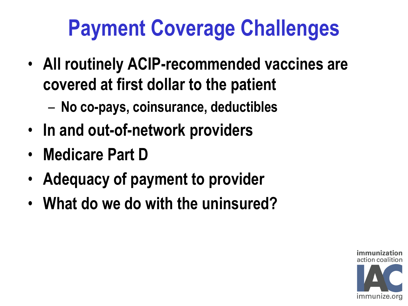### **Payment Coverage Challenges**

- **All routinely ACIP-recommended vaccines are covered at first dollar to the patient**
	- **No co-pays, coinsurance, deductibles**
- **In and out-of-network providers**
- **Medicare Part D**
- **Adequacy of payment to provider**
- **What do we do with the uninsured?**

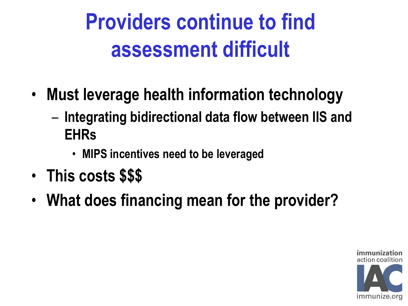## **Providers continue to find assessment difficult**

- **Must leverage health information technology**
	- **Integrating bidirectional data flow between IIS and EHRs**
		- **MIPS incentives need to be leveraged**
- **This costs \$\$\$**
- **What does financing mean for the provider?**

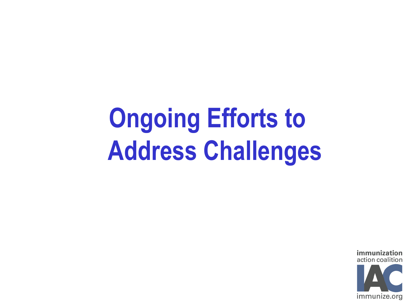# **Ongoing Efforts to Address Challenges**

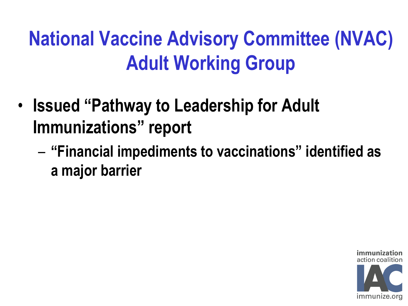#### **National Vaccine Advisory Committee (NVAC) Adult Working Group**

- **Issued "Pathway to Leadership for Adult Immunizations" report**
	- **"Financial impediments to vaccinations" identified as a major barrier**

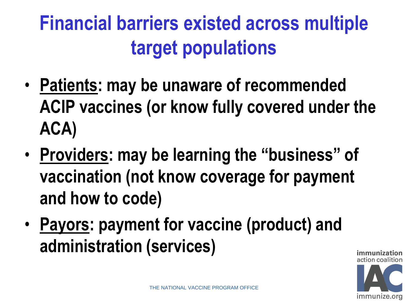#### **Financial barriers existed across multiple target populations**

- **Patients: may be unaware of recommended ACIP vaccines (or know fully covered under the ACA)**
- **Providers: may be learning the "business" of vaccination (not know coverage for payment and how to code)**
- **Payors: payment for vaccine (product) and administration (services)**

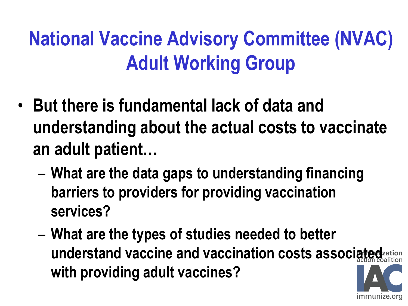#### **National Vaccine Advisory Committee (NVAC) Adult Working Group**

- **But there is fundamental lack of data and understanding about the actual costs to vaccinate an adult patient…**
	- **What are the data gaps to understanding financing barriers to providers for providing vaccination services?**
	- **What are the types of studies needed to better understand vaccine and vaccination costs associated with providing adult vaccines?**

immunize.org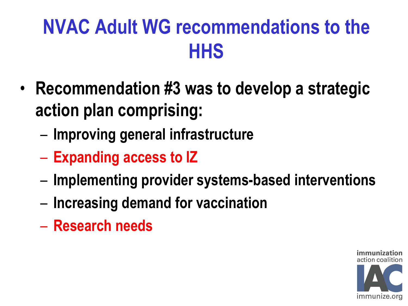#### **NVAC Adult WG recommendations to the HHS**

- **Recommendation #3 was to develop a strategic action plan comprising:**
	- **Improving general infrastructure**
	- **Expanding access to IZ**
	- **Implementing provider systems-based interventions**
	- **Increasing demand for vaccination**
	- **Research needs**

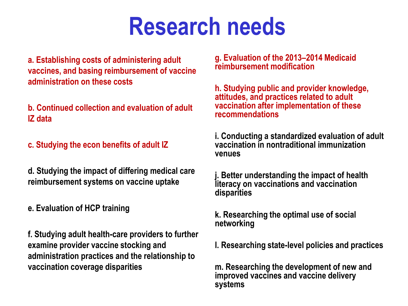#### **Research needs**

**a. Establishing costs of administering adult vaccines, and basing reimbursement of vaccine administration on these costs**

**b. Continued collection and evaluation of adult IZ data**

**c. Studying the econ benefits of adult IZ**

**d. Studying the impact of differing medical care reimbursement systems on vaccine uptake**

**e. Evaluation of HCP training**

**f. Studying adult health-care providers to further examine provider vaccine stocking and administration practices and the relationship to vaccination coverage disparities**

**g. Evaluation of the 2013–2014 Medicaid reimbursement modification**

**h. Studying public and provider knowledge, attitudes, and practices related to adult vaccination after implementation of these recommendations**

**i. Conducting a standardized evaluation of adult vaccination in nontraditional immunization venues**

**j. Better understanding the impact of health literacy on vaccinations and vaccination disparities**

**k. Researching the optimal use of social networking**

**l. Researching state-level policies and practices**

**m. Researching the development of new and improved vaccines and vaccine delivery systems**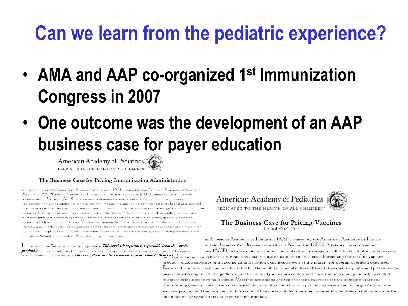#### **Can we learn from the pediatric experience?**

- **AMA and AAP co-organized 1st Immunization Congress in 2007**
- **One outcome was the development of an AAP business case for payer education**

American Academy of Pediatrics DEDICATED TO THE HEALTH OF ALL CHILDREN'



#### The Business Case for Pricing Immunization Administration

One of the goals of the American Academy of Pediatrics (AAP), shared by the American Academy of Family Physicians (AAFP) and the Centers for Disease Control and Prevention (CDC) Advisory Committee on  $\mid$ m munization  $Pr$ actices  $(ACIP)$  is to promote maximum immunization coverage for all infants, children, adolescents, and young adults. To achieve this goal, physicians must be paid for the full costs (direct and indirect) of vaccine product related expenses and vaccine administration expenses as well as the margin for overall overhead expenses. Because the private physician practice is the backbone of the immunization delivery infrastructure, payers must recognize that a pediatric practice is really a business entity and must run on sound, generally accepted business principles to remain viable. Vaccines are among the top overhead expenses for the pediatric practice. Therefore, payments must ensure reimbursement for the total direct and indirect practice expenses and a margin for both the vaccine product and the vaccine administration office costs and the time spent counseling families on the indications for and potential side effects of each vaccine product.

Immunization Administration Expenses: This service is separately reportable from the vaccine product. Some payers mistakenly try to maintain that inadequate vaccine payments can be made up by nominal immunization administration fees. However, these are two separate expenses and both need to be



#### The Business Case for Pricing Vaccines Revised March 2012

ie American Academy of Pediatrics (AAP), shared by the American Academy of Family ind the Centers for Disease Control and Prevention (CDC) Advisory Committee on ces (ACIP), is to promote maximum immunization coverage for all infants, children, adolescents, achieve this goal, physicians must be paid for the full costs (direct and indirect) of vaccine product-related expenses and vaccine administration expenses as well as the margin for overall overhead expenses. Because the private physician practice is the backbone of the immunization delivery infrastructure, public and private sector pavers must recognize that a pediatric practice is really a business entity and must run on sound, generally accepted business principles to remain viable. Vaccines are among the top overhead expenses for the pediatric practice. Therefore, payments must ensure recovery of the total direct and indirect practice expenses and a margin for both the vaccine product and the vaccine administration office costs and the time spent counseling families on the indications for and potential adverse effects of each vaccine product.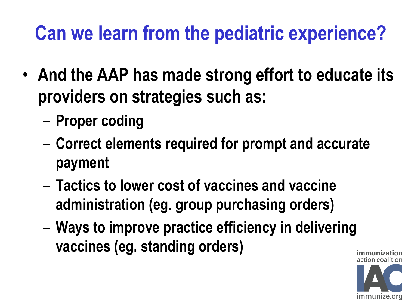#### **Can we learn from the pediatric experience?**

- **And the AAP has made strong effort to educate its providers on strategies such as:**
	- **Proper coding**
	- **Correct elements required for prompt and accurate payment**
	- **Tactics to lower cost of vaccines and vaccine administration (eg. group purchasing orders)**
	- **Ways to improve practice efficiency in delivering vaccines (eg. standing orders)**

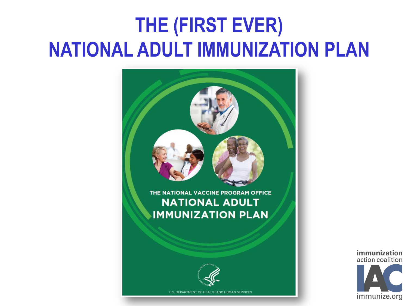#### **THE (FIRST EVER) NATIONAL ADULT IMMUNIZATION PLAN**



immunization action coalition immunize.org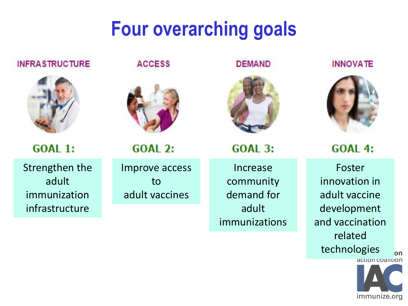#### **Four overarching goals**



**INFRASTRUCTURE** 

**GOAL 1:** 

Strengthen the adult immunization infrastructure

**ACCESS** 



**GOAL 2:** 

Improve access to adult vaccines

**DEMAND** 



**GOAL 3:** 

Increase community demand for adult immunizations **INNOVATE** 



**GOAL 4:** 

Foster innovation in adult vaccine development and vaccination related technologies



on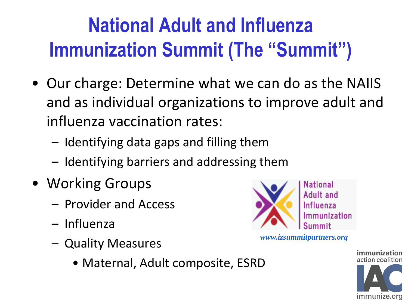#### **National Adult and Influenza Immunization Summit (The "Summit")**

- Our charge: Determine what we can do as the NAIIS and as individual organizations to improve adult and influenza vaccination rates:
	- Identifying data gaps and filling them
	- Identifying barriers and addressing them
- Working Groups
	- Provider and Access
	- Influenza
	- Quality Measures
		- Maternal, Adult composite, ESRD



*www.izsummitpartners.org*

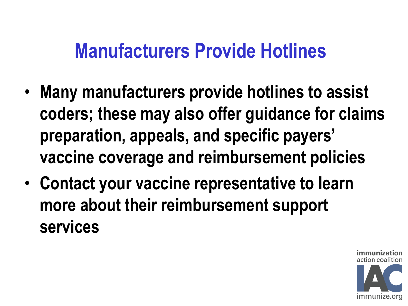#### **Manufacturers Provide Hotlines**

- **Many manufacturers provide hotlines to assist coders; these may also offer guidance for claims preparation, appeals, and specific payers' vaccine coverage and reimbursement policies**
- **Contact your vaccine representative to learn more about their reimbursement support services**

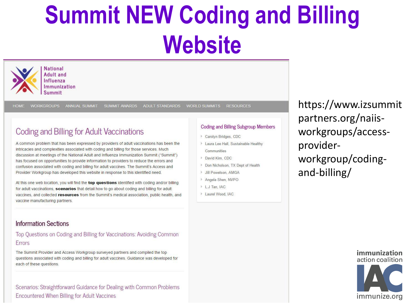# **Summit NEW Coding and Billing Website**



Adult and Influenza Immunization Summit

**WORKGROUPS** ANNUAL SUMMIT

SUMMIT AWARDS ADULT STANDARDS WORLD SUMMITS

#### **Coding and Billing for Adult Vaccinations**

A common problem that has been expressed by providers of adult vaccinations has been the intricacies and complexities associated with coding and billing for those services. Much discussion at meetings of the National Adult and Influenza Immunization Summit ("Summit") has focused on opportunities to provide information to providers to reduce the errors and confusion associated with coding and billing for adult vaccines. The Summit's Access and Provider Workgroup has developed this website in response to this identified need.

At this one web location, you will find the top questions identified with coding and/or billing for adult vaccinations, scenarios that detail how to go about coding and billing for adult vaccines, and collected resources from the Summit's medical association, public health, and vaccine manufacturing partners.

#### **Information Sections**

#### Top Questions on Coding and Billing for Vaccinations: Avoiding Common Errors

The Summit Provider and Access Workgroup surveyed partners and compiled the top questions associated with coding and billing for adult vaccines. Guidance was developed for each of these questions.

Scenarios: Straightforward Guidance for Dealing with Common Problems Encountered When Billing for Adult Vaccines

#### **Coding and Billing Subgroup Members**

**RESOURCES** 

- > Carolyn Bridges, CDC
- > Laura Lee Hall, Sustainable Healthy Communities
- > David Kim, CDC
- > Don Nicholson, TX Dept of Health
- > Jill Powelson, AMGA
- > Angela Shen, NVPO
- > L.J Tan, JAC
- > Laurel Wood, IAC

https://www.izsummit partners.org/naiisworkgroups/accessproviderworkgroup/codingand-billing/